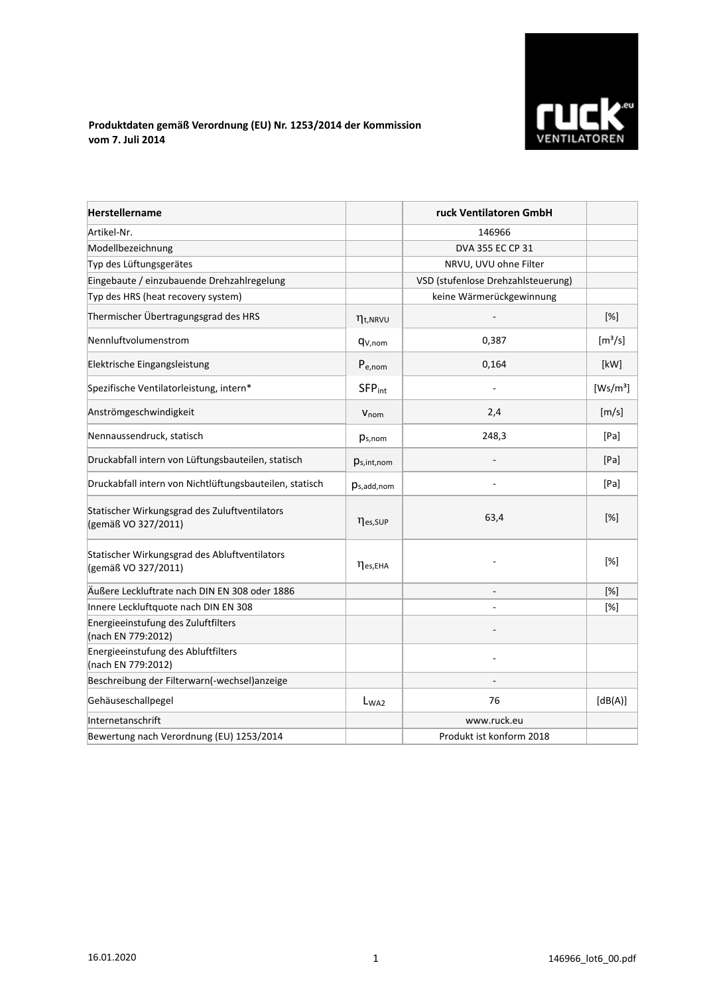

## **Produktdaten gemäß Verordnung (EU) Nr. 1253/2014 der Kommission vom 7. Juli 2014**

| <b>Herstellername</b>                                                |                           | ruck Ventilatoren GmbH             |                      |
|----------------------------------------------------------------------|---------------------------|------------------------------------|----------------------|
| Artikel-Nr.                                                          |                           | 146966                             |                      |
| Modellbezeichnung                                                    |                           | DVA 355 EC CP 31                   |                      |
| Typ des Lüftungsgerätes                                              |                           | NRVU, UVU ohne Filter              |                      |
| Eingebaute / einzubauende Drehzahlregelung                           |                           | VSD (stufenlose Drehzahlsteuerung) |                      |
| Typ des HRS (heat recovery system)                                   |                           | keine Wärmerückgewinnung           |                      |
| Thermischer Übertragungsgrad des HRS                                 | $\eta_{t, NRVU}$          |                                    | [%]                  |
| Nennluftvolumenstrom                                                 | q <sub>V,nom</sub>        | 0,387                              | $[m^3/s]$            |
| Elektrische Eingangsleistung                                         | $P_{e,nom}$               | 0,164                              | [kW]                 |
| Spezifische Ventilatorleistung, intern*                              | <b>SFP</b> <sub>int</sub> |                                    | [Ws/m <sup>3</sup> ] |
| Anströmgeschwindigkeit                                               | $V_{\text{nom}}$          | 2,4                                | [m/s]                |
| Nennaussendruck, statisch                                            | $p_{s,nom}$               | 248,3                              | [Pa]                 |
| Druckabfall intern von Lüftungsbauteilen, statisch                   | $p_{s,int,nom}$           |                                    | [Pa]                 |
| Druckabfall intern von Nichtlüftungsbauteilen, statisch              | $p_{s,add,nom}$           |                                    | [Pa]                 |
| Statischer Wirkungsgrad des Zuluftventilators<br>(gemäß VO 327/2011) | nes, SUP                  | 63,4                               | $[\%]$               |
| Statischer Wirkungsgrad des Abluftventilators<br>(gemäß VO 327/2011) | $\eta$ es, EHA            |                                    | [%]                  |
| Äußere Leckluftrate nach DIN EN 308 oder 1886                        |                           |                                    | [%]                  |
| Innere Leckluftquote nach DIN EN 308                                 |                           |                                    | [%]                  |
| Energieeinstufung des Zuluftfilters<br>(nach EN 779:2012)            |                           |                                    |                      |
| Energieeinstufung des Abluftfilters<br>(nach EN 779:2012)            |                           |                                    |                      |
| Beschreibung der Filterwarn(-wechsel)anzeige                         |                           |                                    |                      |
| Gehäuseschallpegel                                                   | L <sub>WA2</sub>          | 76                                 | [dB(A)]              |
| Internetanschrift                                                    |                           | www.ruck.eu                        |                      |
| Bewertung nach Verordnung (EU) 1253/2014                             |                           | Produkt ist konform 2018           |                      |